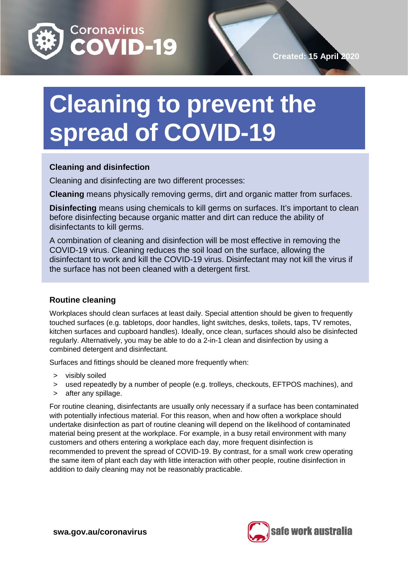

# **Cleaning to prevent the spread of COVID-19**

# **Cleaning and disinfection**

Cleaning and disinfecting are two different processes:

**Cleaning** means physically removing germs, dirt and organic matter from surfaces.

**Disinfecting** means using chemicals to kill germs on surfaces. It's important to clean before disinfecting because organic matter and dirt can reduce the ability of disinfectants to kill germs.

A combination of cleaning and disinfection will be most effective in removing the COVID-19 virus. Cleaning reduces the soil load on the surface, allowing the disinfectant to work and kill the COVID-19 virus. Disinfectant may not kill the virus if the surface has not been cleaned with a detergent first.

# **Routine cleaning**

Workplaces should clean surfaces at least daily. Special attention should be given to frequently touched surfaces (e.g. tabletops, door handles, light switches, desks, toilets, taps, TV remotes, kitchen surfaces and cupboard handles). Ideally, once clean, surfaces should also be disinfected regularly. Alternatively, you may be able to do a 2-in-1 clean and disinfection by using a combined detergent and disinfectant.

Surfaces and fittings should be cleaned more frequently when:

- > visibly soiled
- > used repeatedly by a number of people (e.g. trolleys, checkouts, EFTPOS machines), and
- > after any spillage.

For routine cleaning, disinfectants are usually only necessary if a surface has been contaminated with potentially infectious material. For this reason, when and how often a workplace should undertake disinfection as part of routine cleaning will depend on the likelihood of contaminated material being present at the workplace. For example, in a busy retail environment with many customers and others entering a workplace each day, more frequent disinfection is recommended to prevent the spread of COVID-19. By contrast, for a small work crew operating the same item of plant each day with little interaction with other people, routine disinfection in addition to daily cleaning may not be reasonably practicable.

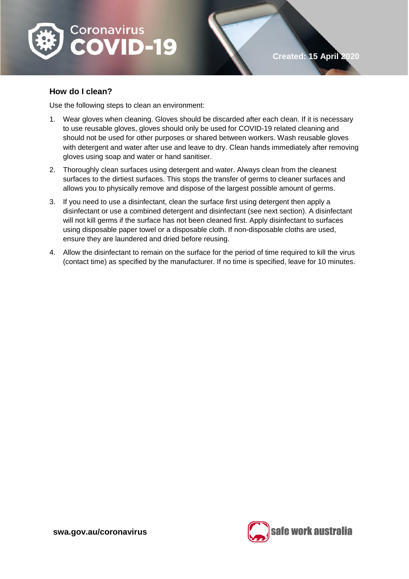

# **How do I clean?**

Use the following steps to clean an environment:

- 1. Wear gloves when cleaning. Gloves should be discarded after each clean. If it is necessary to use reusable gloves, gloves should only be used for COVID-19 related cleaning and should not be used for other purposes or shared between workers. Wash reusable gloves with detergent and water after use and leave to dry. Clean hands immediately after removing gloves using soap and water or hand sanitiser.
- 2. Thoroughly clean surfaces using detergent and water. Always clean from the cleanest surfaces to the dirtiest surfaces. This stops the transfer of germs to cleaner surfaces and allows you to physically remove and dispose of the largest possible amount of germs.
- 3. If you need to use a disinfectant, clean the surface first using detergent then apply a disinfectant or use a combined detergent and disinfectant (see next section). A disinfectant will not kill germs if the surface has not been cleaned first. Apply disinfectant to surfaces using disposable paper towel or a disposable cloth. If non-disposable cloths are used, ensure they are laundered and dried before reusing.
- 4. Allow the disinfectant to remain on the surface for the period of time required to kill the virus (contact time) as specified by the manufacturer. If no time is specified, leave for 10 minutes.

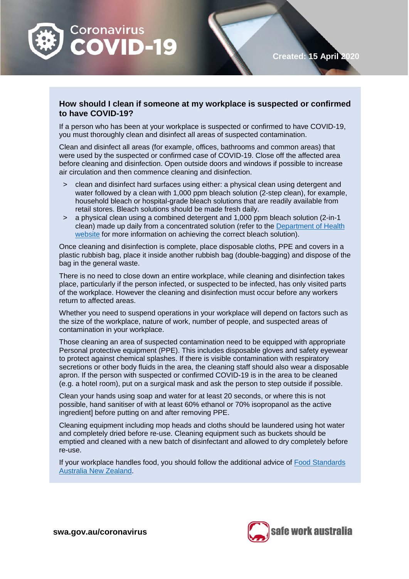

## **How should I clean if someone at my workplace is suspected or confirmed to have COVID-19?**

If a person who has been at your workplace is suspected or confirmed to have COVID-19, you must thoroughly clean and disinfect all areas of suspected contamination.

Clean and disinfect all areas (for example, offices, bathrooms and common areas) that were used by the suspected or confirmed case of COVID-19. Close off the affected area before cleaning and disinfection. Open outside doors and windows if possible to increase air circulation and then commence cleaning and disinfection.

- > clean and disinfect hard surfaces using either: a physical clean using detergent and water followed by a clean with 1,000 ppm bleach solution (2-step clean), for example, household bleach or hospital-grade bleach solutions that are readily available from retail stores. Bleach solutions should be made fresh daily.
- > a physical clean using a combined detergent and 1,000 ppm bleach solution (2-in-1 clean) made up daily from a concentrated solution (refer to the [Department of Health](https://www.health.gov.au/sites/default/files/documents/2020/03/environmental-cleaning-and-disinfection-principles-for-covid-19.pdf)  [website](https://www.health.gov.au/sites/default/files/documents/2020/03/environmental-cleaning-and-disinfection-principles-for-covid-19.pdf) for more information on achieving the correct bleach solution).

Once cleaning and disinfection is complete, place disposable cloths, PPE and covers in a plastic rubbish bag, place it inside another rubbish bag (double-bagging) and dispose of the bag in the general waste.

There is no need to close down an entire workplace, while cleaning and disinfection takes place, particularly if the person infected, or suspected to be infected, has only visited parts of the workplace. However the cleaning and disinfection must occur before any workers return to affected areas.

Whether you need to suspend operations in your workplace will depend on factors such as the size of the workplace, nature of work, number of people, and suspected areas of contamination in your workplace.

Those cleaning an area of suspected contamination need to be equipped with appropriate Personal protective equipment (PPE). This includes disposable gloves and safety eyewear to protect against chemical splashes. If there is visible contamination with respiratory secretions or other body fluids in the area, the cleaning staff should also wear a disposable apron. If the person with suspected or confirmed COVID-19 is in the area to be cleaned (e.g. a hotel room), put on a surgical mask and ask the person to step outside if possible.

Clean your hands using soap and water for at least 20 seconds, or where this is not possible, hand sanitiser of with at least 60% ethanol or 70% isopropanol as the active ingredient before putting on and after removing PPE.

Cleaning equipment including mop heads and cloths should be laundered using hot water and completely dried before re-use. Cleaning equipment such as buckets should be emptied and cleaned with a new batch of disinfectant and allowed to dry completely before re-use.

If your workplace handles food, you should follow the additional advice of [Food Standards](https://www.foodstandards.gov.au/consumer/safety/Pages/NOVEL-CORONAVIRUS-AND-FOOD-SAFETY.aspx)  [Australia New Zealand.](https://www.foodstandards.gov.au/consumer/safety/Pages/NOVEL-CORONAVIRUS-AND-FOOD-SAFETY.aspx)



**Created: 15 April 2020**

**swa.gov.au/coronavirus**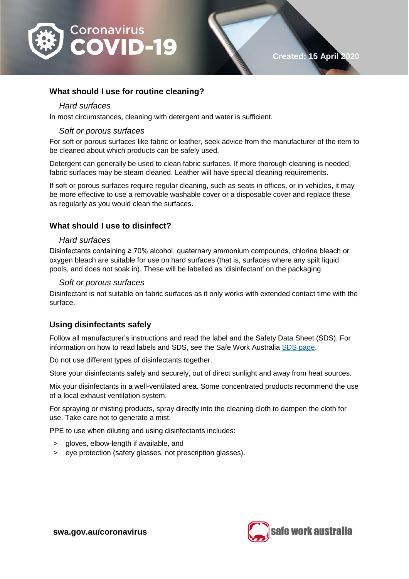

## **What should I use for routine cleaning?**

#### *Hard surfaces*

In most circumstances, cleaning with detergent and water is sufficient.

#### *Soft or porous surfaces*

For soft or porous surfaces like fabric or leather, seek advice from the manufacturer of the item to be cleaned about which products can be safely used.

Detergent can generally be used to clean fabric surfaces. If more thorough cleaning is needed, fabric surfaces may be steam cleaned. Leather will have special cleaning requirements.

If soft or porous surfaces require regular cleaning, such as seats in offices, or in vehicles, it may be more effective to use a removable washable cover or a disposable cover and replace these as regularly as you would clean the surfaces.

# **What should I use to disinfect?**

#### *Hard surfaces*

Disinfectants containing ≥ 70% alcohol, quaternary ammonium compounds, chlorine bleach or oxygen bleach are suitable for use on hard surfaces (that is, surfaces where any spilt liquid pools, and does not soak in). These will be labelled as 'disinfectant' on the packaging.

#### *Soft or porous surfaces*

Disinfectant is not suitable on fabric surfaces as it only works with extended contact time with the surface.

## **Using disinfectants safely**

Follow all manufacturer's instructions and read the label and the Safety Data Sheet (SDS). For information on how to read labels and SDS, see the Safe Work Australia [SDS page.](https://www.safeworkaustralia.gov.au/sds)

Do not use different types of disinfectants together.

Store your disinfectants safely and securely, out of direct sunlight and away from heat sources.

Mix your disinfectants in a well-ventilated area. Some concentrated products recommend the use of a local exhaust ventilation system.

For spraying or misting products, spray directly into the cleaning cloth to dampen the cloth for use. Take care not to generate a mist.

PPE to use when diluting and using disinfectants includes:

- > gloves, elbow-length if available, and
- > eye protection (safety glasses, not prescription glasses).